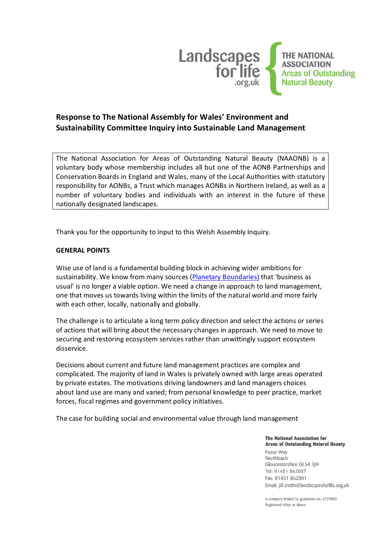

# **Response to The National Assembly for Wales' Environment and Sustainability Committee Inquiry into Sustainable Land Management**

The National Association for Areas of Outstanding Natural Beauty (NAAONB) is a voluntary body whose membership includes all but one of the AONB Partnerships and Conservation Boards in England and Wales, many of the Local Authorities with statutory responsibility for AONBs, a Trust which manages AONBs in Northern Ireland, as well as a number of voluntary bodies and individuals with an interest in the future of these nationally designated landscapes.

Thank you for the opportunity to input to this Welsh Assembly Inquiry.

### **GENERAL POINTS**

Wise use of land is a fundamental building block in achieving wider ambitions for sustainability. We know from many sources (Planetary Boundaries) that 'business as usual' is no longer a viable option. We need a change in approach to land management, one that moves us towards living within the limits of the natural world and more fairly with each other, locally, nationally and globally.

The challenge is to articulate a long term policy direction and select the actions or series of actions that will bring about the necessary changes in approach. We need to move to securing and restoring ecosystem services rather than unwittingly support ecosystem disservice.

Decisions about current and future land management practices are complex and complicated. The majority of land in Wales is privately owned with large areas operated by private estates. The motivations driving landowners and land managers choices about land use are many and varied; from personal knowledge to peer practice, market forces, fiscal regimes and government policy initiatives.

The case for building social and environmental value through land management

#### **The National Association for Areas of Outstanding Natural Beauty**

Fosse Way Northleach Gloucestershire GL54 3JH Tel: 01451 862007 Fax: 01451 862001 Email: jill.smith@landscapesforlife.org.uk

A company limited by guarantee no: 4729800 Registered office as above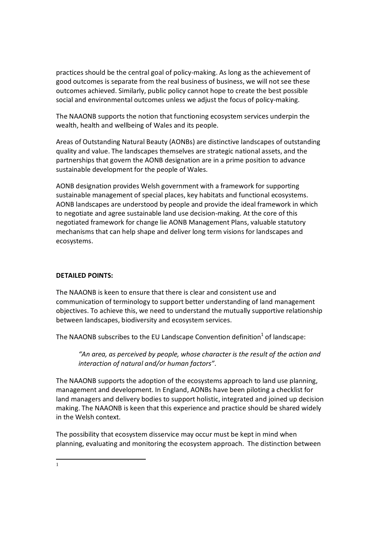practices should be the central goal of policy-making. As long as the achievement of good outcomes is separate from the real business of business, we will not see these outcomes achieved. Similarly, public policy cannot hope to create the best possible social and environmental outcomes unless we adjust the focus of policy-making.

The NAAONB supports the notion that functioning ecosystem services underpin the wealth, health and wellbeing of Wales and its people.

Areas of Outstanding Natural Beauty (AONBs) are distinctive landscapes of outstanding quality and value. The landscapes themselves are strategic national assets, and the partnerships that govern the AONB designation are in a prime position to advance sustainable development for the people of Wales.

AONB designation provides Welsh government with a framework for supporting sustainable management of special places, key habitats and functional ecosystems. AONB landscapes are understood by people and provide the ideal framework in which to negotiate and agree sustainable land use decision-making. At the core of this negotiated framework for change lie AONB Management Plans, valuable statutory mechanisms that can help shape and deliver long term visions for landscapes and ecosystems.

### **DETAILED POINTS:**

The NAAONB is keen to ensure that there is clear and consistent use and communication of terminology to support better understanding of land management objectives. To achieve this, we need to understand the mutually supportive relationship between landscapes, biodiversity and ecosystem services.

The NAAONB subscribes to the EU Landscape Convention definition<sup>1</sup> of landscape:

*"An area, as perceived by people, whose character is the result of the action and interaction of natural and/or human factors".*

The NAAONB supports the adoption of the ecosystems approach to land use planning, management and development. In England, AONBs have been piloting a checklist for land managers and delivery bodies to support holistic, integrated and joined up decision making. The NAAONB is keen that this experience and practice should be shared widely in the Welsh context.

The possibility that ecosystem disservice may occur must be kept in mind when planning, evaluating and monitoring the ecosystem approach. The distinction between

1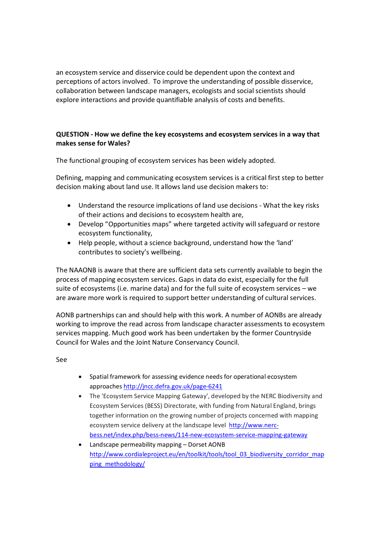an ecosystem service and disservice could be dependent upon the context and perceptions of actors involved. To improve the understanding of possible disservice, collaboration between landscape managers, ecologists and social scientists should explore interactions and provide quantifiable analysis of costs and benefits.

# **QUESTION - How we define the key ecosystems and ecosystem services in a way that makes sense for Wales?**

The functional grouping of ecosystem services has been widely adopted.

Defining, mapping and communicating ecosystem services is a critical first step to better decision making about land use. It allows land use decision makers to:

- · Understand the resource implications of land use decisions What the key risks of their actions and decisions to ecosystem health are,
- · Develop "Opportunities maps" where targeted activity will safeguard or restore ecosystem functionality,
- · Help people, without a science background, understand how the 'land' contributes to society's wellbeing.

The NAAONB is aware that there are sufficient data sets currently available to begin the process of mapping ecosystem services. Gaps in data do exist, especially for the full suite of ecosystems (i.e. marine data) and for the full suite of ecosystem services – we are aware more work is required to support better understanding of cultural services.

AONB partnerships can and should help with this work. A number of AONBs are already working to improve the read across from landscape character assessments to ecosystem services mapping. Much good work has been undertaken by the former Countryside Council for Wales and the Joint Nature Conservancy Council.

See

- · Spatial frame[work for assessing evidence needs fo](http://jncc.defra.gov.uk/page-6241)r operational ecosystem approaches http://jncc.defra.gov.uk/page-6241
- · The 'Ecosystem Service Mapping Gateway', developed by the NERC Biodiversity and Ecosystem Services (BESS) Directorate, with funding from Natural England, brings together information on the growing number of pro[jects concerned wi](http://www.nerc-bess.net/index.php/bess-news/114-new-ecosystem-service-mapping-gateway)th mapping [ecosystem service delivery at the landscape level http://www.nerc](http://www.nerc-bess.net/index.php/bess-news/114-new-ecosystem-service-mapping-gateway)bess.net/index.php/bess-news/114-new-ecosystem-service-mapping-gateway
- · [Landscape permeability mapping](http://www.cordialeproject.eu/en/toolkit/tools/tool_03_biodiversity_corridor_mapping_methodology/)  Dorset AONB [http://www.cordialep](http://www.cordialeproject.eu/en/toolkit/tools/tool_03_biodiversity_corridor_mapping_methodology/)roject.eu/en/toolkit/tools/tool\_03\_biodiversity\_corridor\_map ping\_methodology/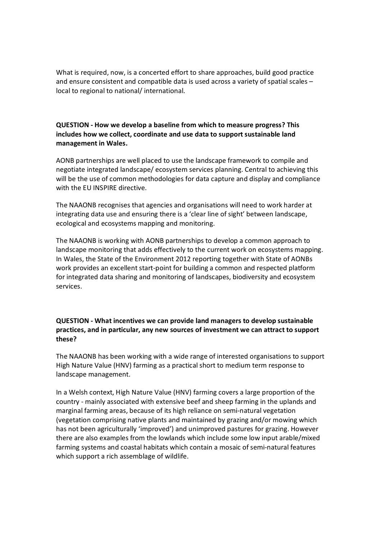What is required, now, is a concerted effort to share approaches, build good practice and ensure consistent and compatible data is used across a variety of spatial scales – local to regional to national/ international.

# **QUESTION - How we develop a baseline from which to measure progress? This includes how we collect, coordinate and use data to support sustainable land management in Wales.**

AONB partnerships are well placed to use the landscape framework to compile and negotiate integrated landscape/ ecosystem services planning. Central to achieving this will be the use of common methodologies for data capture and display and compliance with the EU INSPIRE directive.

The NAAONB recognises that agencies and organisations will need to work harder at integrating data use and ensuring there is a 'clear line of sight' between landscape, ecological and ecosystems mapping and monitoring.

The NAAONB is working with AONB partnerships to develop a common approach to landscape monitoring that adds effectively to the current work on ecosystems mapping. In Wales, the State of the Environment 2012 reporting together with State of AONBs work provides an excellent start-point for building a common and respected platform for integrated data sharing and monitoring of landscapes, biodiversity and ecosystem services.

# **QUESTION - What incentives we can provide land managers to develop sustainable practices, and in particular, any new sources of investment we can attract to support these?**

The NAAONB has been working with a wide range of interested organisations to support High Nature Value (HNV) farming as a practical short to medium term response to landscape management.

In a Welsh context, High Nature Value (HNV) farming covers a large proportion of the country - mainly associated with extensive beef and sheep farming in the uplands and marginal farming areas, because of its high reliance on semi-natural vegetation (vegetation comprising native plants and maintained by grazing and/or mowing which has not been agriculturally 'improved') and unimproved pastures for grazing. However there are also examples from the lowlands which include some low input arable/mixed farming systems and coastal habitats which contain a mosaic of semi-natural features which support a rich assemblage of wildlife.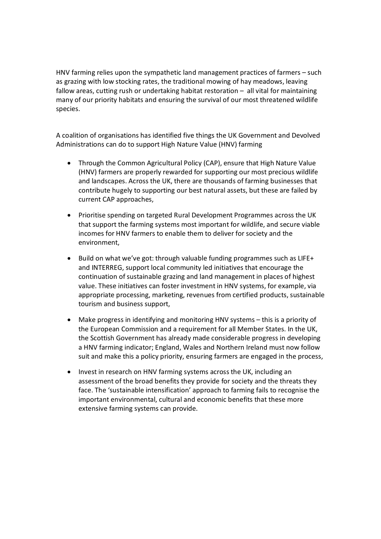HNV farming relies upon the sympathetic land management practices of farmers – such as grazing with low stocking rates, the traditional mowing of hay meadows, leaving fallow areas, cutting rush or undertaking habitat restoration – all vital for maintaining many of our priority habitats and ensuring the survival of our most threatened wildlife species.

A coalition of organisations has identified five things the UK Government and Devolved Administrations can do to support High Nature Value (HNV) farming

- Through the Common Agricultural Policy (CAP), ensure that High Nature Value (HNV) farmers are properly rewarded for supporting our most precious wildlife and landscapes. Across the UK, there are thousands of farming businesses that contribute hugely to supporting our best natural assets, but these are failed by current CAP approaches,
- · Prioritise spending on targeted Rural Development Programmes across the UK that support the farming systems most important for wildlife, and secure viable incomes for HNV farmers to enable them to deliver for society and the environment,
- · Build on what we've got: through valuable funding programmes such as LIFE+ and INTERREG, support local community led initiatives that encourage the continuation of sustainable grazing and land management in places of highest value. These initiatives can foster investment in HNV systems, for example, via appropriate processing, marketing, revenues from certified products, sustainable tourism and business support,
- · Make progress in identifying and monitoring HNV systems this is a priority of the European Commission and a requirement for all Member States. In the UK, the Scottish Government has already made considerable progress in developing a HNV farming indicator; England, Wales and Northern Ireland must now follow suit and make this a policy priority, ensuring farmers are engaged in the process,
- · Invest in research on HNV farming systems across the UK, including an assessment of the broad benefits they provide for society and the threats they face. The 'sustainable intensification' approach to farming fails to recognise the important environmental, cultural and economic benefits that these more extensive farming systems can provide.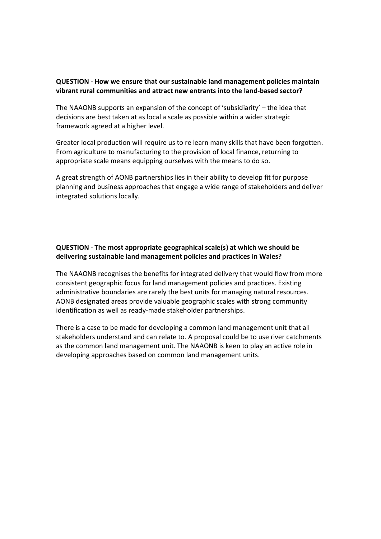### **QUESTION - How we ensure that our sustainable land management policies maintain vibrant rural communities and attract new entrants into the land-based sector?**

The NAAONB supports an expansion of the concept of 'subsidiarity' – the idea that decisions are best taken at as local a scale as possible within a wider strategic framework agreed at a higher level.

Greater local production will require us to re learn many skills that have been forgotten. From agriculture to manufacturing to the provision of local finance, returning to appropriate scale means equipping ourselves with the means to do so.

A great strength of AONB partnerships lies in their ability to develop fit for purpose planning and business approaches that engage a wide range of stakeholders and deliver integrated solutions locally.

# **QUESTION - The most appropriate geographical scale(s) at which we should be delivering sustainable land management policies and practices in Wales?**

The NAAONB recognises the benefits for integrated delivery that would flow from more consistent geographic focus for land management policies and practices. Existing administrative boundaries are rarely the best units for managing natural resources. AONB designated areas provide valuable geographic scales with strong community identification as well as ready-made stakeholder partnerships.

There is a case to be made for developing a common land management unit that all stakeholders understand and can relate to. A proposal could be to use river catchments as the common land management unit. The NAAONB is keen to play an active role in developing approaches based on common land management units.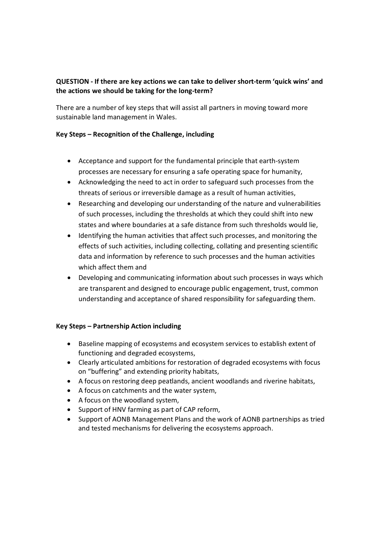# **QUESTION - If there are key actions we can take to deliver short-term 'quick wins' and the actions we should be taking for the long-term?**

There are a number of key steps that will assist all partners in moving toward more sustainable land management in Wales.

# **Key Steps – Recognition of the Challenge, including**

- · Acceptance and support for the fundamental principle that earth-system processes are necessary for ensuring a safe operating space for humanity,
- · Acknowledging the need to act in order to safeguard such processes from the threats of serious or irreversible damage as a result of human activities,
- · Researching and developing our understanding of the nature and vulnerabilities of such processes, including the thresholds at which they could shift into new states and where boundaries at a safe distance from such thresholds would lie,
- · Identifying the human activities that affect such processes, and monitoring the effects of such activities, including collecting, collating and presenting scientific data and information by reference to such processes and the human activities which affect them and
- · Developing and communicating information about such processes in ways which are transparent and designed to encourage public engagement, trust, common understanding and acceptance of shared responsibility for safeguarding them.

# **Key Steps – Partnership Action including**

- · Baseline mapping of ecosystems and ecosystem services to establish extent of functioning and degraded ecosystems,
- · Clearly articulated ambitions for restoration of degraded ecosystems with focus on "buffering" and extending priority habitats,
- · A focus on restoring deep peatlands, ancient woodlands and riverine habitats,
- · A focus on catchments and the water system,
- · A focus on the woodland system,
- · Support of HNV farming as part of CAP reform,
- · Support of AONB Management Plans and the work of AONB partnerships as tried and tested mechanisms for delivering the ecosystems approach.